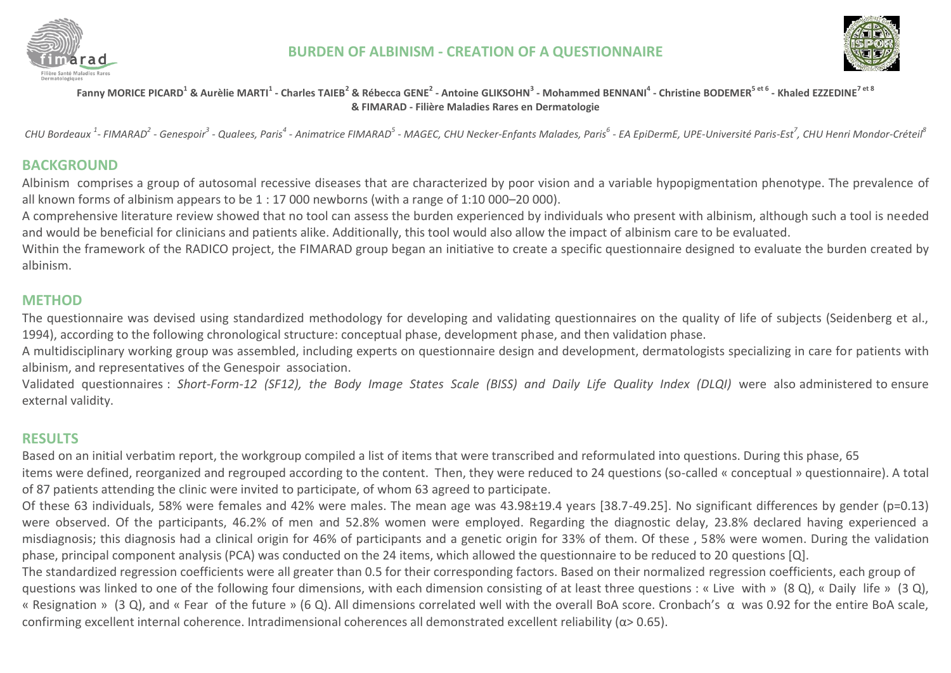



Fanny MORICE PICARD<sup>1</sup> & Aurèlie MARTI<sup>1</sup> - Charles TAIEB<sup>2</sup> & Rébecca GENE<sup>2</sup> - Antoine GLIKSOHN<sup>3</sup> - Mohammed BENNANI<sup>4</sup> - Christine BODEMER<sup>5 et 6</sup> - Khaled EZZEDINE<sup>7 et 8</sup> **& FIMARAD - Filière Maladies Rares en Dermatologie**

CHU Bordeaux <sup>1</sup>- FIMARAD<sup>2</sup> - Genespoir<sup>3</sup> - Qualees, Paris<sup>4</sup> - Animatrice FIMARAD<sup>5</sup> - MAGEC, CHU Necker-Enfants Malades, Paris<sup>6</sup> - EA EpiDermE, UPE-Université Paris-Est<sup>7</sup>, CHU Henri Mondor-Créteil<sup>8</sup>

## **BACKGROUND**

Albinism comprises a group of autosomal recessive diseases that are characterized by poor vision and a variable hypopigmentation phenotype. The prevalence of all known forms of albinism appears to be 1 : 17 000 newborns (with a range of 1:10 000–20 000).

A comprehensive literature review showed that no tool can assess the burden experienced by individuals who present with albinism, although such a tool is needed and would be beneficial for clinicians and patients alike. Additionally, this tool would also allow the impact of albinism care to be evaluated.

Within the framework of the RADICO project, the FIMARAD group began an initiative to create a specific questionnaire designed to evaluate the burden created by albinism.

## **METHOD**

The questionnaire was devised using standardized methodology for developing and validating questionnaires on the quality of life of subjects (Seidenberg et al., 1994), according to the following chronological structure: conceptual phase, development phase, and then validation phase.

A multidisciplinary working group was assembled, including experts on questionnaire design and development, dermatologists specializing in care for patients with albinism, and representatives of the Genespoir association.

Validated questionnaires : *Short-Form-12 (SF12), the Body Image States Scale (BISS) and Daily Life Quality Index (DLQI)* were also administered to ensure external validity.

# **RESULTS**

Based on an initial verbatim report, the workgroup compiled a list of items that were transcribed and reformulated into questions. During this phase, 65 items were defined, reorganized and regrouped according to the content. Then, they were reduced to 24 questions (so-called « conceptual » questionnaire). A total of 87 patients attending the clinic were invited to participate, of whom 63 agreed to participate.

Of these 63 individuals, 58% were females and 42% were males. The mean age was 43.98±19.4 years [38.7-49.25]. No significant differences by gender (p=0.13) were observed. Of the participants, 46.2% of men and 52.8% women were employed. Regarding the diagnostic delay, 23.8% declared having experienced a misdiagnosis; this diagnosis had a clinical origin for 46% of participants and a genetic origin for 33% of them. Of these , 58% were women. During the validation phase, principal component analysis (PCA) was conducted on the 24 items, which allowed the questionnaire to be reduced to 20 questions [Q].

The standardized regression coefficients were all greater than 0.5 for their corresponding factors. Based on their normalized regression coefficients, each group of questions was linked to one of the following four dimensions, with each dimension consisting of at least three questions : « Live with » (8 Q), « Daily life » (3 Q), « Resignation » (3 Q), and « Fear of the future » (6 Q). All dimensions correlated well with the overall BoA score. Cronbach's α was 0.92 for the entire BoA scale, confirming excellent internal coherence. Intradimensional coherences all demonstrated excellent reliability (α> 0.65).